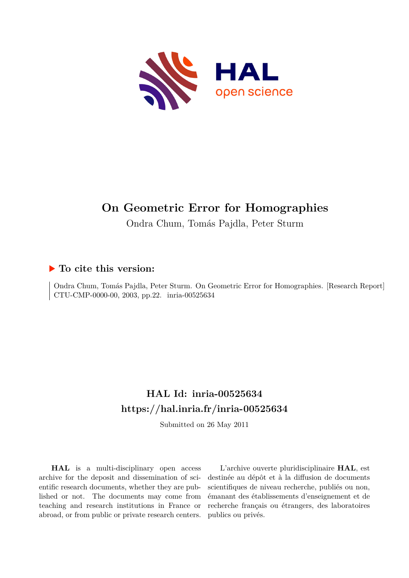

# **On Geometric Error for Homographies**

Ondra Chum, Tomás Pajdla, Peter Sturm

## **To cite this version:**

Ondra Chum, Tomás Pajdla, Peter Sturm. On Geometric Error for Homographies. [Research Report] CTU-CMP-0000-00, 2003, pp.22. inria-00525634

# **HAL Id: inria-00525634 <https://hal.inria.fr/inria-00525634>**

Submitted on 26 May 2011

**HAL** is a multi-disciplinary open access archive for the deposit and dissemination of scientific research documents, whether they are published or not. The documents may come from teaching and research institutions in France or abroad, or from public or private research centers.

L'archive ouverte pluridisciplinaire **HAL**, est destinée au dépôt et à la diffusion de documents scientifiques de niveau recherche, publiés ou non, émanant des établissements d'enseignement et de recherche français ou étrangers, des laboratoires publics ou privés.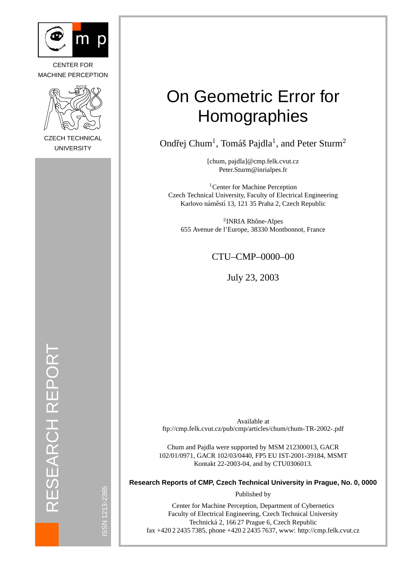

CENTER FOR MACHINE PERCEPTION



CZECH TECHNICAL UNIVERSITY

# On Geometric Error for **Homographies**

Ondřej Chum<sup>1</sup>, Tomáš Pajdla<sup>1</sup>, and Peter Sturm<sup>2</sup>

[chum, pajdla]@cmp.felk.cvut.cz Peter.Sturm@inrialpes.fr

<sup>1</sup>Center for Machine Perception Czech Technical University, Faculty of Electrical Engineering Karlovo náměstí 13, 121 35 Praha 2, Czech Republic

<sup>2</sup>INRIA Rhône-Alpes 655 Avenue de l'Europe, 38330 Montbonnot, France

### CTU–CMP–0000–00

July 23, 2003

RESEARCH REPORT ESEARCH REPORT  $\overline{\alpha}$ 

ISSN 1213-2365

SSN 1213-2365

Available at ftp://cmp.felk.cvut.cz/pub/cmp/articles/chum/chum-TR-2002-.pdf

Chum and Pajdla were supported by MSM 212300013, GACR 102/01/0971, GACR 102/03/0440, FP5 EU IST-2001-39184, MSMT Kontakt 22-2003-04, and by CTU0306013.

**Research Reports of CMP, Czech Technical University in Prague, No. 0, 0000**

Published by

Center for Machine Perception, Department of Cybernetics Faculty of Electrical Engineering, Czech Technical University Technicka 2, 166 27 Prague 6, Czech Republic ´ fax +420 2 2435 7385, phone +420 2 2435 7637, www: http://cmp.felk.cvut.cz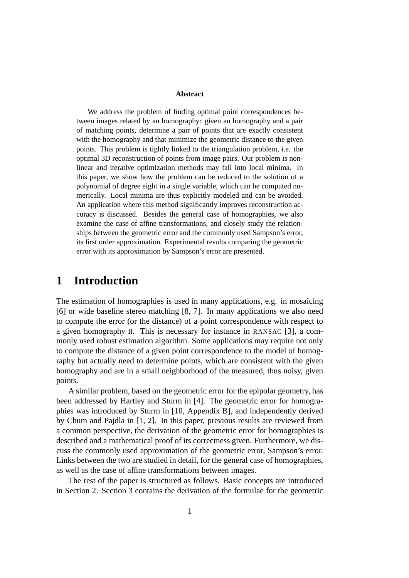#### **Abstract**

We address the problem of finding optimal point correspondences between images related by an homography: given an homography and a pair of matching points, determine a pair of points that are exactly consistent with the homography and that minimize the geometric distance to the given points. This problem is tightly linked to the triangulation problem, i.e. the optimal 3D reconstruction of points from image pairs. Our problem is nonlinear and iterative optimization methods may fall into local minima. In this paper, we show how the problem can be reduced to the solution of a polynomial of degree eight in a single variable, which can be computed numerically. Local minima are thus explicitly modeled and can be avoided. An application where this method significantly improves reconstruction accuracy is discussed. Besides the general case of homographies, we also examine the case of affine transformations, and closely study the relationships between the geometric error and the commonly used Sampson's error, its first order approximation. Experimental results comparing the geometric error with its approximation by Sampson's error are presented.

# **1 Introduction**

The estimation of homographies is used in many applications, e.g. in mosaicing [6] or wide baseline stereo matching [8, 7]. In many applications we also need to compute the error (or the distance) of a point correspondence with respect to a given homography H. This is necessary for instance in RANSAC [3], a commonly used robust estimation algorithm. Some applications may require not only to compute the distance of a given point correspondence to the model of homography but actually need to determine points, which are consistent with the given homography and are in a small neighborhood of the measured, thus noisy, given points.

A similar problem, based on the geometric error for the epipolar geometry, has been addressed by Hartley and Sturm in [4]. The geometric error for homographies was introduced by Sturm in [10, Appendix B], and independently derived by Chum and Pajdla in [1, 2]. In this paper, previous results are reviewed from a common perspective, the derivation of the geometric error for homographies is described and a mathematical proof of its correctness given. Furthermore, we discuss the commonly used approximation of the geometric error, Sampson's error. Links between the two are studied in detail, for the general case of homographies, as well as the case of affine transformations between images.

The rest of the paper is structured as follows. Basic concepts are introduced in Section 2. Section 3 contains the derivation of the formulae for the geometric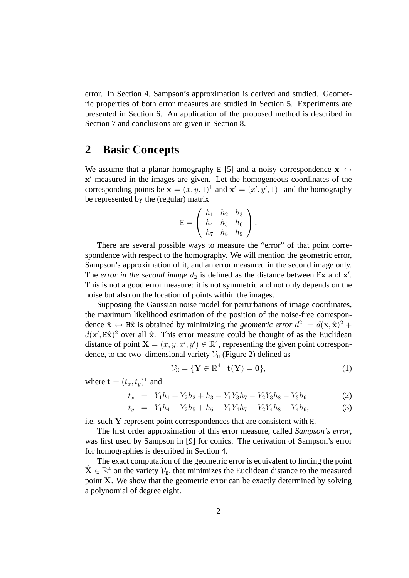error. In Section 4, Sampson's approximation is derived and studied. Geometric properties of both error measures are studied in Section 5. Experiments are presented in Section 6. An application of the proposed method is described in Section 7 and conclusions are given in Section 8.

# **2 Basic Concepts**

We assume that a planar homography H [5] and a noisy correspondence  $x \leftrightarrow$ x' measured in the images are given. Let the homogeneous coordinates of the corresponding points be  $\mathbf{x} = (x, y, 1)^\top$  and  $\mathbf{x}' = (x', y', 1)^\top$  and the homography be represented by the (regular) matrix

$$
H = \begin{pmatrix} h_1 & h_2 & h_3 \\ h_4 & h_5 & h_6 \\ h_7 & h_8 & h_9 \end{pmatrix}.
$$

There are several possible ways to measure the "error" of that point correspondence with respect to the homography. We will mention the geometric error, Sampson's approximation of it, and an error measured in the second image only. The *error in the second image*  $d_2$  is defined as the distance between  $Hx$  and  $x'$ . This is not a good error measure: it is not symmetric and not only depends on the noise but also on the location of points within the images.

Supposing the Gaussian noise model for perturbations of image coordinates, the maximum likelihood estimation of the position of the noise-free correspondence  $\hat{\mathbf{x}} \leftrightarrow \mathbf{H}\hat{\mathbf{x}}$  is obtained by minimizing the *geometric error*  $d_{\perp}^2 = d(\mathbf{x}, \hat{\mathbf{x}})^2 + d(\mathbf{x}, \hat{\mathbf{x}})^2$  $d(\mathbf{x}', \hat{\mathbf{\mu}})$  over all  $\hat{\mathbf{x}}$ . This error measure could be thought of as the Euclidean distance of point  $X = (x, y, x', y') \in \mathbb{R}^4$ , representing the given point correspondence, to the two–dimensional variety  $V_H$  (Figure 2) defined as

$$
\mathcal{V}_H = \{ \mathbf{Y} \in \mathbb{R}^4 \mid \mathbf{t}(\mathbf{Y}) = \mathbf{0} \},\tag{1}
$$

where  $\mathbf{t} = (t_x, t_y)^\top$  and

$$
t_x = Y_1 h_1 + Y_2 h_2 + h_3 - Y_1 Y_3 h_7 - Y_2 Y_3 h_8 - Y_3 h_9 \tag{2}
$$

$$
t_y = Y_1 h_4 + Y_2 h_5 + h_6 - Y_1 Y_4 h_7 - Y_2 Y_4 h_8 - Y_4 h_9,\tag{3}
$$

i.e. such Y represent point correspondences that are consistent with H.

The first order approximation of this error measure, called *Sampson's error*, was first used by Sampson in [9] for conics. The derivation of Sampson's error for homographies is described in Section 4.

The exact computation of the geometric error is equivalent to finding the point  $\hat{\mathbf{X}} \in \mathbb{R}^4$  on the variety  $\mathcal{V}_{H}$ , that minimizes the Euclidean distance to the measured point X. We show that the geometric error can be exactly determined by solving a polynomial of degree eight.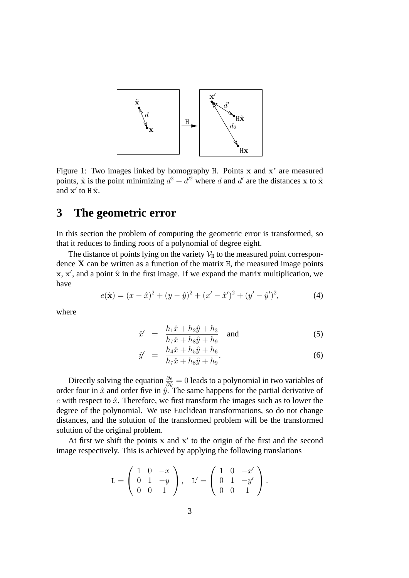

Figure 1: Two images linked by homography H. Points x and x' are measured points,  $\tilde{\mathbf{x}}$  is the point minimizing  $d^2 + d'^2$  where d and d' are the distances x to  $\tilde{\mathbf{x}}$ and  $\mathbf{x}'$  to  $\mathbf{H}\tilde{\mathbf{x}}$ .

# **3 The geometric error**

In this section the problem of computing the geometric error is transformed, so that it reduces to finding roots of a polynomial of degree eight.

The distance of points lying on the variety  $\mathcal{V}_H$  to the measured point correspondence  $X$  can be written as a function of the matrix  $H$ , the measured image points  $x, x'$ , and a point  $\hat{x}$  in the first image. If we expand the matrix multiplication, we have

$$
e(\hat{\mathbf{x}}) = (x - \hat{x})^2 + (y - \hat{y})^2 + (x' - \hat{x}')^2 + (y' - \hat{y}')^2,
$$
 (4)

where

$$
\hat{x}' = \frac{h_1\hat{x} + h_2\hat{y} + h_3}{h_7\hat{x} + h_8\hat{y} + h_9} \quad \text{and} \tag{5}
$$

$$
\hat{y}' = \frac{h_4 \hat{x} + h_5 \hat{y} + h_6}{h_7 \hat{x} + h_8 \hat{y} + h_9}.
$$
\n(6)

Directly solving the equation  $\frac{\partial e}{\partial \hat{y}} = 0$  leads to a polynomial in two variables of order four in  $\hat{x}$  and order five in  $\hat{y}$ . The same happens for the partial derivative of e with respect to  $\hat{x}$ . Therefore, we first transform the images such as to lower the degree of the polynomial. We use Euclidean transformations, so do not change distances, and the solution of the transformed problem will be the transformed solution of the original problem.

At first we shift the points  $x$  and  $x'$  to the origin of the first and the second image respectively. This is achieved by applying the following translations

$$
\mathbf{L} = \left( \begin{array}{ccc} 1 & 0 & -x \\ 0 & 1 & -y \\ 0 & 0 & 1 \end{array} \right), \quad \mathbf{L}' = \left( \begin{array}{ccc} 1 & 0 & -x' \\ 0 & 1 & -y' \\ 0 & 0 & 1 \end{array} \right).
$$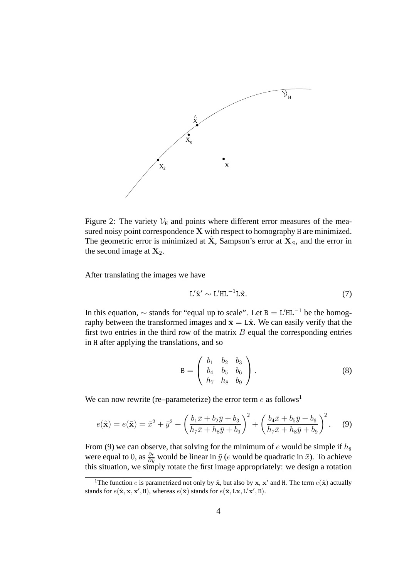

Figure 2: The variety  $V_H$  and points where different error measures of the measured noisy point correspondence X with respect to homography H are minimized. The geometric error is minimized at X, Sampson's error at  $X<sub>S</sub>$ , and the error in the second image at  $X_2$ .

After translating the images we have

$$
L'\hat{\mathbf{x}}' \sim L'HL^{-1}L\hat{\mathbf{x}}.\tag{7}
$$

In this equation,  $\sim$  stands for "equal up to scale". Let B = L'HL<sup>-1</sup> be the homography between the transformed images and  $\bar{x} = L\hat{x}$ . We can easily verify that the first two entries in the third row of the matrix  $B$  equal the corresponding entries in H after applying the translations, and so

$$
\mathbf{B} = \left( \begin{array}{ccc} b_1 & b_2 & b_3 \\ b_4 & b_5 & b_6 \\ h_7 & h_8 & b_9 \end{array} \right). \tag{8}
$$

We can now rewrite (re–parameterize) the error term  $e$  as follows<sup>1</sup>

$$
e(\hat{\mathbf{x}}) = e(\bar{\mathbf{x}}) = \bar{x}^2 + \bar{y}^2 + \left(\frac{b_1\bar{x} + b_2\bar{y} + b_3}{h_7\bar{x} + h_8\bar{y} + b_9}\right)^2 + \left(\frac{b_4\bar{x} + b_5\bar{y} + b_6}{h_7\bar{x} + h_8\bar{y} + b_9}\right)^2.
$$
 (9)

From (9) we can observe, that solving for the minimum of e would be simple if  $h_8$ were equal to 0, as  $\frac{\partial e}{\partial \bar{y}}$  would be linear in  $\bar{y}$  (e would be quadratic in  $\bar{x}$ ). To achieve this situation, we simply rotate the first image appropriately: we design a rotation

<sup>&</sup>lt;sup>1</sup>The function *e* is parametrized not only by  $\hat{\mathbf{x}}$ , but also by  $\mathbf{x}$ ,  $\mathbf{x}'$  and H. The term  $e(\hat{\mathbf{x}})$  actually stands for  $e(\hat{\mathbf{x}}, \mathbf{x}, \mathbf{x}', \mathbf{H})$ , whereas  $e(\bar{\mathbf{x}})$  stands for  $e(\bar{\mathbf{x}}, \mathbf{L}\mathbf{x}, \mathbf{L}'\mathbf{x}', \mathbf{B})$ .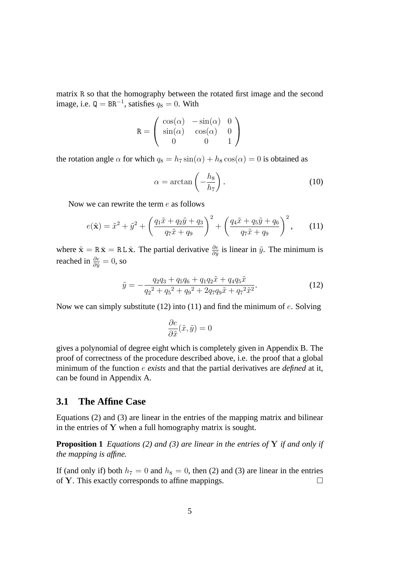matrix R so that the homography between the rotated first image and the second image, i.e.  $Q = BR^{-1}$ , satisfies  $q_8 = 0$ . With

$$
\mathbf{R} = \begin{pmatrix} \cos(\alpha) & -\sin(\alpha) & 0\\ \sin(\alpha) & \cos(\alpha) & 0\\ 0 & 0 & 1 \end{pmatrix}
$$

the rotation angle  $\alpha$  for which  $q_8 = h_7 \sin(\alpha) + h_8 \cos(\alpha) = 0$  is obtained as

$$
\alpha = \arctan\left(-\frac{h_8}{h_7}\right). \tag{10}
$$

Now we can rewrite the term e as follows

$$
e(\tilde{\mathbf{x}}) = \tilde{x}^2 + \tilde{y}^2 + \left(\frac{q_1 \tilde{x} + q_2 \tilde{y} + q_3}{q_7 \tilde{x} + q_9}\right)^2 + \left(\frac{q_4 \tilde{x} + q_5 \tilde{y} + q_6}{q_7 \tilde{x} + q_9}\right)^2, \quad (11)
$$

where  $\tilde{\mathbf{x}} = \mathbf{R} \bar{\mathbf{x}} = \mathbf{R} \mathbf{L} \hat{\mathbf{x}}$ . The partial derivative  $\frac{\partial e}{\partial \tilde{y}}$  is linear in  $\tilde{y}$ . The minimum is reached in  $\frac{\partial e}{\partial \tilde{y}} = 0$ , so

$$
\tilde{y} = -\frac{q_2 q_3 + q_5 q_6 + q_1 q_2 \tilde{x} + q_4 q_5 \tilde{x}}{q_2^2 + q_5^2 + q_9^2 + 2q_7 q_9 \tilde{x} + q_7^2 \tilde{x}^2}.
$$
\n(12)

Now we can simply substitute (12) into (11) and find the minimum of  $e$ . Solving

$$
\frac{\partial e}{\partial \tilde{x}}(\tilde{x}, \tilde{y}) = 0
$$

gives a polynomial of degree eight which is completely given in Appendix B. The proof of correctness of the procedure described above, i.e. the proof that a global minimum of the function e *exists* and that the partial derivatives are *defined* at it, can be found in Appendix A.

#### **3.1 The Affine Case**

Equations (2) and (3) are linear in the entries of the mapping matrix and bilinear in the entries of  $Y$  when a full homography matrix is sought.

**Proposition 1** *Equations (2) and (3) are linear in the entries of* Y *if and only if the mapping is affine.*

If (and only if) both  $h_7 = 0$  and  $h_8 = 0$ , then (2) and (3) are linear in the entries of Y. This exactly corresponds to affine mappings.  $\Box$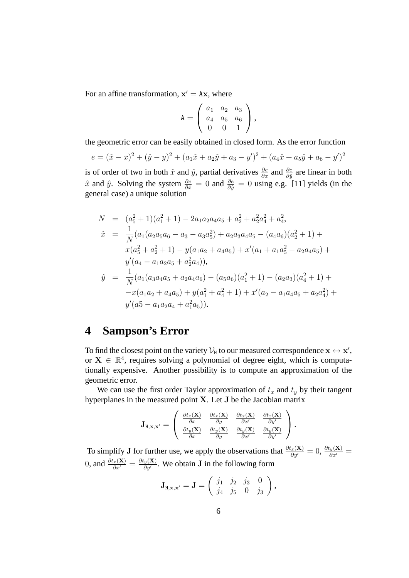For an affine transformation,  $x' = Ax$ , where

$$
\mathbf{A} = \left( \begin{array}{ccc} a_1 & a_2 & a_3 \\ a_4 & a_5 & a_6 \\ 0 & 0 & 1 \end{array} \right),
$$

the geometric error can be easily obtained in closed form. As the error function

$$
e = (\hat{x} - x)^2 + (\hat{y} - y)^2 + (a_1\hat{x} + a_2\hat{y} + a_3 - y')^2 + (a_4\hat{x} + a_5\hat{y} + a_6 - y')^2
$$

is of order of two in both  $\hat{x}$  and  $\hat{y}$ , partial derivatives  $\frac{\partial e}{\partial x}$  and  $\frac{\partial e}{\partial \hat{y}}$  are linear in both  $\hat{x}$  and  $\hat{y}$ . Solving the system  $\frac{\partial e}{\partial \hat{x}} = 0$  and  $\frac{\partial e}{\partial \hat{y}} = 0$  using e.g. [11] yields (in the general case) a unique solution

$$
N = (a_5^2 + 1)(a_1^2 + 1) - 2a_1a_2a_4a_5 + a_2^2 + a_2^2a_4^2 + a_4^2,
$$
  
\n
$$
\hat{x} = \frac{1}{N}(a_1(a_2a_5a_6 - a_3 - a_3a_5^2) + a_2a_3a_4a_5 - (a_4a_6)(a_2^2 + 1) +
$$
  
\n
$$
x(a_5^2 + a_2^2 + 1) - y(a_1a_2 + a_4a_5) + x'(a_1 + a_1a_5^2 - a_2a_4a_5) +
$$
  
\n
$$
y'(a_4 - a_1a_2a_5 + a_2^2a_4)),
$$
  
\n
$$
\hat{y} = \frac{1}{N}(a_1(a_3a_4a_5 + a_2a_4a_6) - (a_5a_6)(a_1^2 + 1) - (a_2a_3)(a_4^2 + 1) +
$$
  
\n
$$
-x(a_1a_2 + a_4a_5) + y(a_1^2 + a_4^2 + 1) + x'(a_2 - a_1a_4a_5 + a_2a_4^2) +
$$
  
\n
$$
y'(a_5 - a_1a_2a_4 + a_1^2a_5)).
$$

# **4 Sampson's Error**

To find the closest point on the variety  $\mathcal{V}_{\tt H}$  to our measured correspondence  ${\bf x} \leftrightarrow {\bf x}',$ or  $X \in \mathbb{R}^4$ , requires solving a polynomial of degree eight, which is computationally expensive. Another possibility is to compute an approximation of the geometric error.

We can use the first order Taylor approximation of  $t_x$  and  $t_y$  by their tangent hyperplanes in the measured point X. Let J be the Jacobian matrix

$$
\mathbf{J}_{\mathrm{H},\mathbf{x},\mathbf{x}'} = \begin{pmatrix} \frac{\partial t_x(\mathbf{X})}{\partial x} & \frac{\partial t_x(\mathbf{X})}{\partial y} & \frac{\partial t_x(\mathbf{X})}{\partial x'} & \frac{\partial t_x(\mathbf{X})}{\partial y'} \\ \frac{\partial t_y(\mathbf{X})}{\partial x} & \frac{\partial t_y(\mathbf{X})}{\partial y} & \frac{\partial t_y(\mathbf{X})}{\partial x'} & \frac{\partial t_y(\mathbf{X})}{\partial y'} \end{pmatrix}.
$$

To simplify J for further use, we apply the observations that  $\frac{\partial t_x(\mathbf{X})}{\partial y'} = 0$ ,  $\frac{\partial t_y(\mathbf{X})}{\partial x'} = 0$ 0, and  $\frac{\partial t_x(\mathbf{X})}{\partial x'} = \frac{\partial t_y(\mathbf{X})}{\partial y'}$  $\frac{\partial y(\mathbf{A})}{\partial y'}$ . We obtain **J** in the following form

$$
\mathbf{J}_{\mathrm{H},\mathbf{x},\mathbf{x}'} = \mathbf{J} = \left( \begin{array}{ccc} j_1 & j_2 & j_3 & 0 \\ j_4 & j_5 & 0 & j_3 \end{array} \right),\,
$$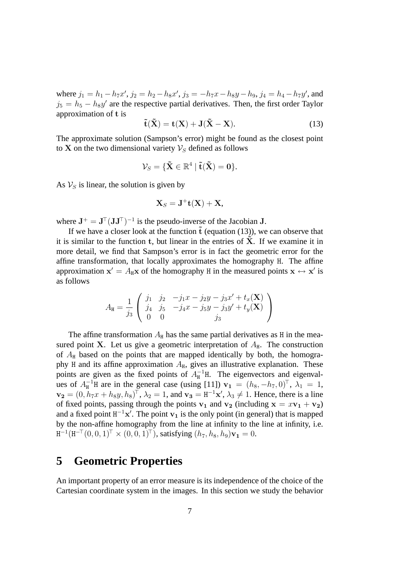where  $j_1 = h_1 - h_7 x'$ ,  $j_2 = h_2 - h_8 x'$ ,  $j_3 = -h_7 x - h_8 y - h_9$ ,  $j_4 = h_4 - h_7 y'$ , and  $j_5 = h_5 - h_8y'$  are the respective partial derivatives. Then, the first order Taylor approximation of t is

$$
\tilde{\mathbf{t}}(\tilde{\mathbf{X}}) = \mathbf{t}(\mathbf{X}) + \mathbf{J}(\tilde{\mathbf{X}} - \mathbf{X}).
$$
\n(13)

The approximate solution (Sampson's error) might be found as the closest point to X on the two dimensional variety  $\mathcal{V}_S$  defined as follows

$$
\mathcal{V}_S = \{ \tilde{\mathbf{X}} \in \mathbb{R}^4 \mid \tilde{\mathbf{t}}(\tilde{\mathbf{X}}) = \mathbf{0} \}.
$$

As  $V_S$  is linear, the solution is given by

$$
\mathbf{X}_S = \mathbf{J}^+\mathbf{t}(\mathbf{X}) + \mathbf{X},
$$

where  $J^+ = J^{\top} (JJ^{\top})^{-1}$  is the pseudo-inverse of the Jacobian J.

If we have a closer look at the function  $\tilde{t}$  (equation (13)), we can observe that it is similar to the function  $t$ , but linear in the entries of  $X$ . If we examine it in more detail, we find that Sampson's error is in fact the geometric error for the affine transformation, that locally approximates the homography H. The affine approximation  $x' = A_Hx$  of the homography H in the measured points  $x \leftrightarrow x'$  is as follows

$$
A_{\tt H} = \frac{1}{j_3} \left( \begin{array}{ccc} j_1 & j_2 & -j_1x - j_2y - j_3x' + t_x(\mathbf{X}) \\ j_4 & j_5 & -j_4x - j_5y - j_3y' + t_y(\mathbf{X}) \\ 0 & 0 & j_3 \end{array} \right)
$$

The affine transformation  $A_H$  has the same partial derivatives as H in the measured point X. Let us give a geometric interpretation of  $A<sub>H</sub>$ . The construction of  $A_H$  based on the points that are mapped identically by both, the homography H and its affine approximation  $A_H$ , gives an illustrative explanation. These points are given as the fixed points of  $A_{\text{H}}^{-1}$ H. The eigenvectors and eigenvalues of  $A_H^{-1}$ H are in the general case (using [11])  $v_1 = (h_8, -h_7, 0)^\top$ ,  $\lambda_1 = 1$ ,  $\mathbf{v_2} = (0, h_7x + h_8y, h_8)^\top$ ,  $\lambda_2 = 1$ , and  $\mathbf{v_3} = \mathrm{H}^{-1}\mathbf{x}'$ ,  $\lambda_3 \neq 1$ . Hence, there is a line of fixed points, passing through the points  $v_1$  and  $v_2$  (including  $x = xv_1 + v_2$ ) and a fixed point  $H^{-1}x'$ . The point  $v_1$  is the only point (in general) that is mapped by the non-affine homography from the line at infinity to the line at infinity, i.e.  ${\tt H}^{-1}({\tt H}^{-\!\top}(0,0,1)^\top\times(0,0,1)^\top)$ , satisfying  $(h_7,h_8,h_9){\tt v}_1=0.$ 

## **5 Geometric Properties**

An important property of an error measure is its independence of the choice of the Cartesian coordinate system in the images. In this section we study the behavior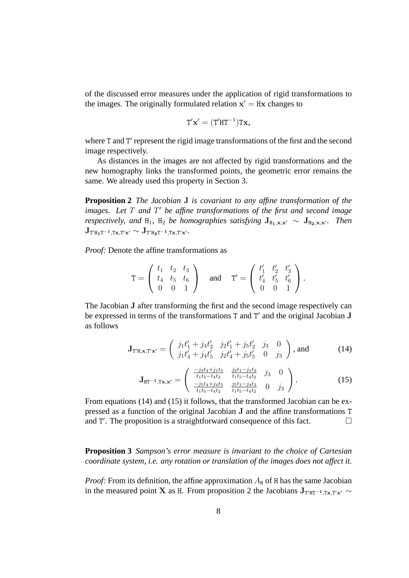of the discussed error measures under the application of rigid transformations to the images. The originally formulated relation  $x' = Hx$  changes to

$$
T' \mathbf{x}' = (T' H T^{-1}) T \mathbf{x},
$$

where T and T' represent the rigid image transformations of the first and the second image respectively.

As distances in the images are not affected by rigid transformations and the new homography links the transformed points, the geometric error remains the same. We already used this property in Section 3.

**Proposition 2** *The Jacobian* J *is covariant to any affine transformation of the* images. Let T and T' be affine transformations of the first and second image *respectively, and* H<sub>1</sub>, H<sub>2</sub> *be homographies satisfying*  $J_{H_1,x,x'} \sim J_{H_2,x,x'}$ *. Then*  $\mathrm{J}_{\scriptscriptstyle\mathrm{T}'\mathrm{H}_1\mathrm{T}^{-1},\mathrm{Tx},\mathrm{T}'x'}\sim \mathrm{J}_{\mathrm{T}'\mathrm{H}_2\mathrm{T}^{-1},\mathrm{Tx},\mathrm{T}'x'}.$ 

*Proof:* Denote the affine transformations as

$$
\mathbf{T} = \left( \begin{array}{ccc} t_1 & t_2 & t_3 \\ t_4 & t_5 & t_6 \\ 0 & 0 & 1 \end{array} \right) \quad \text{and} \quad \mathbf{T}' = \left( \begin{array}{ccc} t'_1 & t'_2 & t'_3 \\ t'_4 & t'_5 & t'_6 \\ 0 & 0 & 1 \end{array} \right).
$$

The Jacobian J after transforming the first and the second image respectively can be expressed in terms of the transformations  $T$  and  $T'$  and the original Jacobian J as follows

$$
\mathbf{J}_{\mathbf{T}'\mathbf{H},\mathbf{x},\mathbf{T}'\mathbf{x}'} = \begin{pmatrix} j_1t'_1 + j_4t'_2 & j_2t'_1 + j_5t'_2 & j_3 & 0\\ j_1t'_4 + j_4t'_5 & j_2t'_4 + j_5t'_5 & 0 & j_3 \end{pmatrix}, \text{and} \quad (14)
$$

$$
\mathbf{J}_{\text{HT}-1,\text{Tx,x'}} = \begin{pmatrix} \frac{-j_2 t_4 + j_1 t_5}{t_1 t_5 - t_4 t_2} & \frac{j_2 t_1 - j_1 t_2}{t_1 t_5 - t_4 t_2} & j_3 & 0\\ \frac{-j_5 t_4 + j_4 t_5}{t_1 t_5 - t_4 t_2} & \frac{j_5 t_1 - j_4 t_2}{t_1 t_5 - t_4 t_2} & 0 & j_3 \end{pmatrix} . \tag{15}
$$

From equations (14) and (15) it follows, that the transformed Jacobian can be expressed as a function of the original Jacobian J and the affine transformations T and T'. The proposition is a straightforward consequence of this fact.  $\Box$ 

**Proposition 3** *Sampson's error measure is invariant to the choice of Cartesian coordinate system, i.e. any rotation or translation of the images does not affect it.*

*Proof:* From its definition, the affine approximation  $A_H$  of H has the same Jacobian in the measured point X as H. From proposition 2 the Jacobians  $J_{T'HT^{-1},Tx,T'x'} \sim$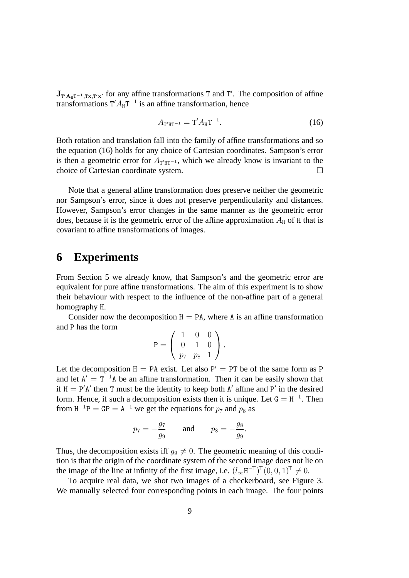$J_{T'A_{\text{HT}}^{-1},\text{Tx},T'x'}$  for any affine transformations T and T'. The composition of affine transformations  $T' A_{H} T^{-1}$  is an affine transformation, hence

$$
A_{T'HT^{-1}} = T' A_H T^{-1}.
$$
 (16)

Both rotation and translation fall into the family of affine transformations and so the equation (16) holds for any choice of Cartesian coordinates. Sampson's error is then a geometric error for  $A_{T'HT^{-1}}$ , which we already know is invariant to the choice of Cartesian coordinate system.

Note that a general affine transformation does preserve neither the geometric nor Sampson's error, since it does not preserve perpendicularity and distances. However, Sampson's error changes in the same manner as the geometric error does, because it is the geometric error of the affine approximation  $A_H$  of H that is covariant to affine transformations of images.

# **6 Experiments**

From Section 5 we already know, that Sampson's and the geometric error are equivalent for pure affine transformations. The aim of this experiment is to show their behaviour with respect to the influence of the non-affine part of a general homography H.

Consider now the decomposition  $H = PA$ , where A is an affine transformation and P has the form

$$
P = \left(\begin{array}{rrr} 1 & 0 & 0 \\ 0 & 1 & 0 \\ p_7 & p_8 & 1 \end{array}\right).
$$

Let the decomposition  $H = PA$  exist. Let also  $P' = PT$  be of the same form as P and let  $A' = T^{-1}A$  be an affine transformation. Then it can be easily shown that if  $H = P'A'$  then T must be the identity to keep both A' affine and P' in the desired form. Hence, if such a decomposition exists then it is unique. Let  $G = H^{-1}$ . Then from  $H^{-1}P = GP = A^{-1}$  we get the equations for  $p_7$  and  $p_8$  as

$$
p_7 = -\frac{g_7}{g_9}
$$
 and  $p_8 = -\frac{g_8}{g_9}$ .

Thus, the decomposition exists iff  $g_9 \neq 0$ . The geometric meaning of this condition is that the origin of the coordinate system of the second image does not lie on the image of the line at infinity of the first image, i.e.  $(l_{\infty}H^{-\top})^{\top}(0,0,1)^{\top} \neq 0$ .

To acquire real data, we shot two images of a checkerboard, see Figure 3. We manually selected four corresponding points in each image. The four points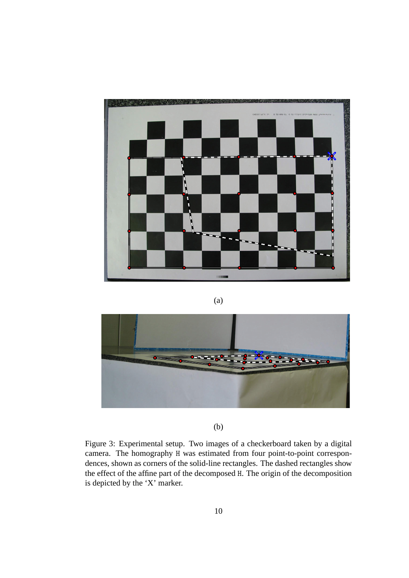

#### (a)



(b)

Figure 3: Experimental setup. Two images of a checkerboard taken by a digital camera. The homography H was estimated from four point-to-point correspondences, shown as corners of the solid-line rectangles. The dashed rectangles show the effect of the affine part of the decomposed H. The origin of the decomposition is depicted by the 'X' marker.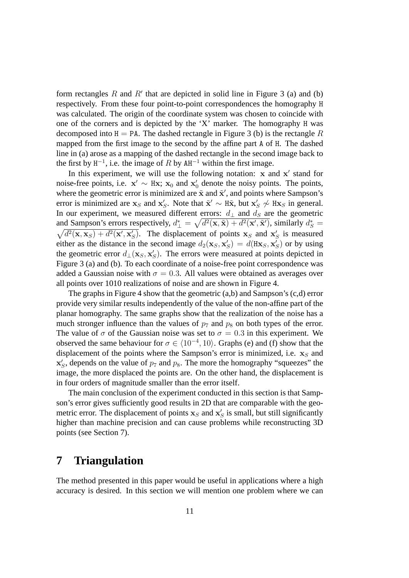form rectangles  $R$  and  $R'$  that are depicted in solid line in Figure 3 (a) and (b) respectively. From these four point-to-point correspondences the homography H was calculated. The origin of the coordinate system was chosen to coincide with one of the corners and is depicted by the 'X' marker. The homography H was decomposed into  $H = PA$ . The dashed rectangle in Figure 3 (b) is the rectangle R mapped from the first image to the second by the affine part A of H. The dashed line in (a) arose as a mapping of the dashed rectangle in the second image back to the first by  $H^{-1}$ , i.e. the image of R by  $AH^{-1}$  within the first image.

In this experiment, we will use the following notation:  $x$  and  $x'$  stand for noise-free points, i.e.  $x' \sim Hx$ ;  $x_0$  and  $x'_0$  denote the noisy points. The points, where the geometric error is minimized are  $\tilde{\mathbf{x}}$  and  $\tilde{\mathbf{x}}'$ , and points where Sampson's error is minimized are  $x_S$  and  $x_S'$ . Note that  $\tilde{x}' \sim H\tilde{x}$ , but  $x_S' \nsim Hx_S$  in general. In our experiment, we measured different errors:  $d_{\perp}$  and  $d_{\rm S}$  are the geometric and Sampson's errors respectively,  $d^*_{\perp} = \sqrt{d^2(\mathbf{x}, \tilde{\mathbf{x}}) + d^2(\mathbf{x}', \tilde{\mathbf{x}}')}$ , similarly  $d^*_{S} =$  $\sqrt{d^2(\mathbf{x}, \mathbf{x}_S) + d^2(\mathbf{x}', \mathbf{x}'_S)}$ . The displacement of points  $\mathbf{x}_S$  and  $\mathbf{x}'_S$  is measured either as the distance in the second image  $d_2(\mathbf{x}_S, \mathbf{x}'_S) = d(\mathbf{H}\mathbf{x}_S, \mathbf{x}'_S)$  or by using the geometric error  $d_{\perp}(\mathbf{x}_S, \mathbf{x}'_S)$ . The errors were measured at points depicted in Figure 3 (a) and (b). To each coordinate of a noise-free point correspondence was added a Gaussian noise with  $\sigma = 0.3$ . All values were obtained as averages over all points over 1010 realizations of noise and are shown in Figure 4.

The graphs in Figure 4 show that the geometric (a,b) and Sampson's (c,d) error provide very similar results independently of the value of the non-affine part of the planar homography. The same graphs show that the realization of the noise has a much stronger influence than the values of  $p_7$  and  $p_8$  on both types of the error. The value of  $\sigma$  of the Gaussian noise was set to  $\sigma = 0.3$  in this experiment. We observed the same behaviour for  $\sigma \in \langle 10^{-4}, 10 \rangle$ . Graphs (e) and (f) show that the displacement of the points where the Sampson's error is minimized, i.e.  $x_S$  and  $\mathbf{x}'_S$ , depends on the value of  $p_7$  and  $p_8$ . The more the homography "squeezes" the image, the more displaced the points are. On the other hand, the displacement is in four orders of magnitude smaller than the error itself.

The main conclusion of the experiment conducted in this section is that Sampson's error gives sufficiently good results in 2D that are comparable with the geometric error. The displacement of points  $x_S$  and  $x'_S$  is small, but still significantly higher than machine precision and can cause problems while reconstructing 3D points (see Section 7).

# **7 Triangulation**

The method presented in this paper would be useful in applications where a high accuracy is desired. In this section we will mention one problem where we can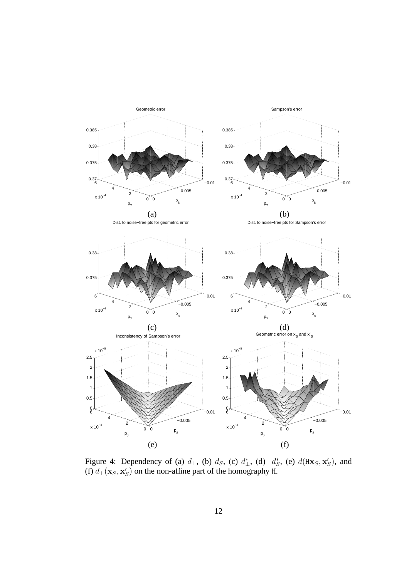

Figure 4: Dependency of (a)  $d_{\perp}$ , (b)  $d_S$ , (c)  $d_{\perp}^*$ , (d)  $d_S^*$ , (e)  $d(Hx_S, x_S')$ , and (f)  $d_{\perp}(\mathbf{x}_S, \mathbf{x}'_S)$  on the non-affine part of the homography H.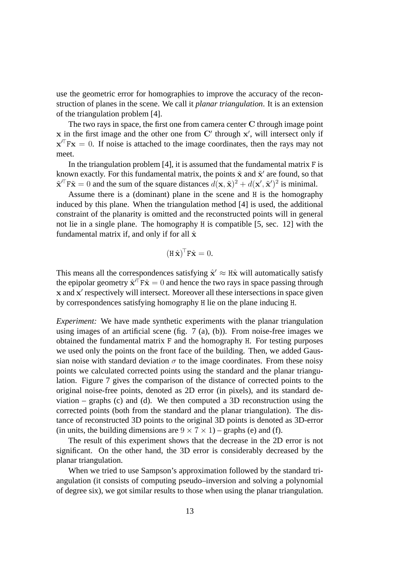use the geometric error for homographies to improve the accuracy of the reconstruction of planes in the scene. We call it *planar triangulation*. It is an extension of the triangulation problem [4].

The two rays in space, the first one from camera center C through image point  $x$  in the first image and the other one from  $C'$  through  $x'$ , will intersect only if  $x^{\prime\prime}$  Fx = 0. If noise is attached to the image coordinates, then the rays may not meet.

In the triangulation problem  $[4]$ , it is assumed that the fundamental matrix  $F$  is known exactly. For this fundamental matrix, the points  $\tilde{\mathbf{x}}$  and  $\tilde{\mathbf{x}}'$  are found, so that  $\tilde{\mathbf{x}}^{\prime\top}$  F $\tilde{\mathbf{x}} = 0$  and the sum of the square distances  $d(\mathbf{x}, \tilde{\mathbf{x}})^2 + d(\mathbf{x}', \tilde{\mathbf{x}}')^2$  is minimal.

Assume there is a (dominant) plane in the scene and H is the homography induced by this plane. When the triangulation method [4] is used, the additional constraint of the planarity is omitted and the reconstructed points will in general not lie in a single plane. The homography H is compatible [5, sec. 12] with the fundamental matrix if, and only if for all  $\hat{x}$ 

$$
(\mathbf{H}\,\hat{\mathbf{x}})^{\top}\mathbf{F}\hat{\mathbf{x}}=0.
$$

This means all the correspondences satisfying  $\hat{\mathbf{x}}' \approx \hat{\mathbf{H}} \hat{\mathbf{x}}$  will automatically satisfy the epipolar geometry  $\hat{\mathbf{x}}^{\prime\top}\mathbf{F}\hat{\mathbf{x}} = 0$  and hence the two rays in space passing through x and x' respectively will intersect. Moreover all these intersections in space given by correspondences satisfying homography H lie on the plane inducing H.

*Experiment:* We have made synthetic experiments with the planar triangulation using images of an artificial scene (fig. 7 (a), (b)). From noise-free images we obtained the fundamental matrix F and the homography H. For testing purposes we used only the points on the front face of the building. Then, we added Gaussian noise with standard deviation  $\sigma$  to the image coordinates. From these noisy points we calculated corrected points using the standard and the planar triangulation. Figure 7 gives the comparison of the distance of corrected points to the original noise-free points, denoted as 2D error (in pixels), and its standard deviation – graphs (c) and (d). We then computed a 3D reconstruction using the corrected points (both from the standard and the planar triangulation). The distance of reconstructed 3D points to the original 3D points is denoted as 3D-error (in units, the building dimensions are  $9 \times 7 \times 1$ ) – graphs (e) and (f).

The result of this experiment shows that the decrease in the 2D error is not significant. On the other hand, the 3D error is considerably decreased by the planar triangulation.

When we tried to use Sampson's approximation followed by the standard triangulation (it consists of computing pseudo–inversion and solving a polynomial of degree six), we got similar results to those when using the planar triangulation.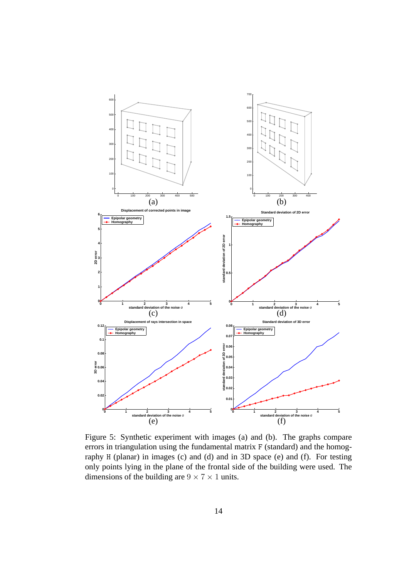

Figure 5: Synthetic experiment with images (a) and (b). The graphs compare errors in triangulation using the fundamental matrix F (standard) and the homography H (planar) in images (c) and (d) and in 3D space (e) and (f). For testing only points lying in the plane of the frontal side of the building were used. The dimensions of the building are  $9 \times 7 \times 1$  units.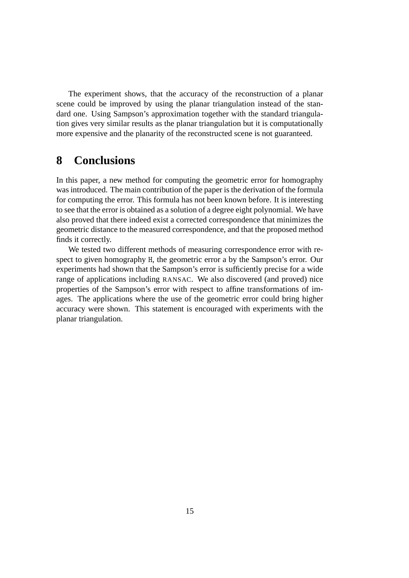The experiment shows, that the accuracy of the reconstruction of a planar scene could be improved by using the planar triangulation instead of the standard one. Using Sampson's approximation together with the standard triangulation gives very similar results as the planar triangulation but it is computationally more expensive and the planarity of the reconstructed scene is not guaranteed.

# **8 Conclusions**

In this paper, a new method for computing the geometric error for homography was introduced. The main contribution of the paper is the derivation of the formula for computing the error. This formula has not been known before. It is interesting to see that the error is obtained as a solution of a degree eight polynomial. We have also proved that there indeed exist a corrected correspondence that minimizes the geometric distance to the measured correspondence, and that the proposed method finds it correctly.

We tested two different methods of measuring correspondence error with respect to given homography H, the geometric error a by the Sampson's error. Our experiments had shown that the Sampson's error is sufficiently precise for a wide range of applications including RANSAC. We also discovered (and proved) nice properties of the Sampson's error with respect to affine transformations of images. The applications where the use of the geometric error could bring higher accuracy were shown. This statement is encouraged with experiments with the planar triangulation.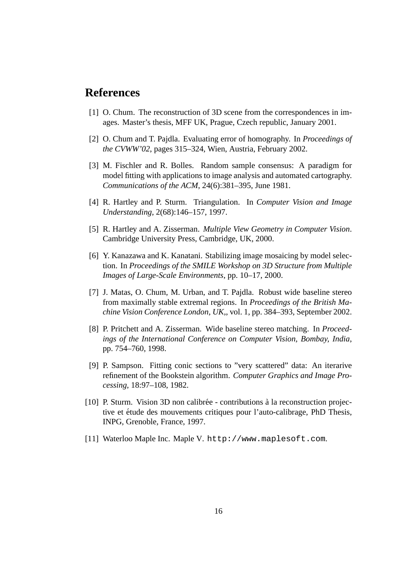# **References**

- [1] O. Chum. The reconstruction of 3D scene from the correspondences in images. Master's thesis, MFF UK, Prague, Czech republic, January 2001.
- [2] O. Chum and T. Pajdla. Evaluating error of homography. In *Proceedings of the CVWW'02*, pages 315–324, Wien, Austria, February 2002.
- [3] M. Fischler and R. Bolles. Random sample consensus: A paradigm for model fitting with applications to image analysis and automated cartography. *Communications of the ACM*, 24(6):381–395, June 1981.
- [4] R. Hartley and P. Sturm. Triangulation. In *Computer Vision and Image Understanding*, 2(68):146–157, 1997.
- [5] R. Hartley and A. Zisserman. *Multiple View Geometry in Computer Vision*. Cambridge University Press, Cambridge, UK, 2000.
- [6] Y. Kanazawa and K. Kanatani. Stabilizing image mosaicing by model selection. In *Proceedings of the SMILE Workshop on 3D Structure from Multiple Images of Large-Scale Environments*, pp. 10–17, 2000.
- [7] J. Matas, O. Chum, M. Urban, and T. Pajdla. Robust wide baseline stereo from maximally stable extremal regions. In *Proceedings of the British Machine Vision Conference London, UK,*, vol. 1, pp. 384–393, September 2002.
- [8] P. Pritchett and A. Zisserman. Wide baseline stereo matching. In *Proceedings of the International Conference on Computer Vision, Bombay, India*, pp. 754–760, 1998.
- [9] P. Sampson. Fitting conic sections to "very scattered" data: An iterarive refinement of the Bookstein algorithm. *Computer Graphics and Image Processing*, 18:97–108, 1982.
- [10] P. Sturm. Vision 3D non calibrée contributions à la reconstruction projective et étude des mouvements critiques pour l'auto-calibrage, PhD Thesis, INPG, Grenoble, France, 1997.
- [11] Waterloo Maple Inc. Maple V. http://www.maplesoft.com.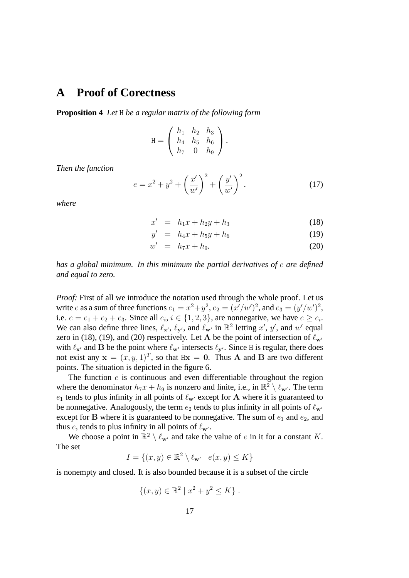# **A Proof of Corectness**

**Proposition 4** *Let* H *be a regular matrix of the following form*

$$
H = \begin{pmatrix} h_1 & h_2 & h_3 \\ h_4 & h_5 & h_6 \\ h_7 & 0 & h_9 \end{pmatrix}.
$$

*Then the function*

$$
e = x^{2} + y^{2} + \left(\frac{x'}{w'}\right)^{2} + \left(\frac{y'}{w'}\right)^{2}.
$$
 (17)

*where*

$$
x' = h_1 x + h_2 y + h_3 \tag{18}
$$

$$
y' = h_4x + h_5y + h_6 \tag{19}
$$

$$
w' = h_7 x + h_9. \t\t(20)
$$

*has a global minimum. In this minimum the partial derivatives of* e *are defined and equal to zero.*

*Proof:* First of all we introduce the notation used through the whole proof. Let us write e as a sum of three functions  $e_1 = x^2 + y^2$ ,  $e_2 = (x'/w')^2$ , and  $e_3 = (y'/w')^2$ , i.e.  $e = e_1 + e_2 + e_3$ . Since all  $e_i, i \in \{1, 2, 3\}$ , are nonnegative, we have  $e \ge e_i$ . We can also define three lines,  $\ell_{\mathbf{x}'}, \ell_{\mathbf{y}'},$  and  $\ell_{\mathbf{w}'}$  in  $\mathbb{R}^2$  letting  $x'$ ,  $y'$ , and  $w'$  equal zero in (18), (19), and (20) respectively. Let A be the point of intersection of  $\ell_{\mathbf{w'}}$ with  $\ell_{\mathbf{x}'}$  and B be the point where  $\ell_{\mathbf{w}'}$  intersects  $\ell_{\mathbf{y}'}$ . Since H is regular, there does not exist any  $\mathbf{x} = (x, y, 1)^T$ , so that  $H\mathbf{x} = \mathbf{0}$ . Thus A and B are two different points. The situation is depicted in the figure 6.

The function  $e$  is continuous and even differentiable throughout the region where the denominator  $h_7x + h_9$  is nonzero and finite, i.e., in  $\mathbb{R}^2 \setminus \ell_{\mathbf{w'}}$ . The term  $e_1$  tends to plus infinity in all points of  $\ell_{w'}$  except for A where it is guaranteed to be nonnegative. Analogously, the term  $e_2$  tends to plus infinity in all points of  $\ell_{\mathbf{w}'}$ except for B where it is guaranteed to be nonnegative. The sum of  $e_1$  and  $e_2$ , and thus e, tends to plus infinity in all points of  $\ell_{\mathbf{w}}$ .

We choose a point in  $\mathbb{R}^2 \setminus \ell_{\mathbf{w}'}$  and take the value of e in it for a constant K. The set

$$
I = \{(x, y) \in \mathbb{R}^2 \setminus \ell_{\mathbf{w}'} \mid e(x, y) \le K\}
$$

is nonempty and closed. It is also bounded because it is a subset of the circle

$$
\{(x, y) \in \mathbb{R}^2 \mid x^2 + y^2 \le K\}.
$$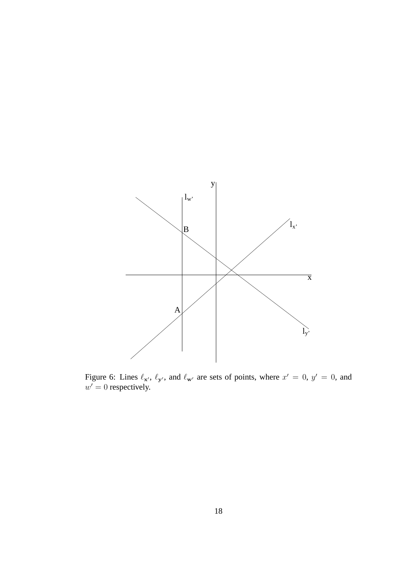

Figure 6: Lines  $\ell_{\mathbf{x}'}, \ell_{\mathbf{y}'},$  and  $\ell_{\mathbf{w}'}$  are sets of points, where  $x' = 0, y' = 0$ , and  $w' = 0$  respectively.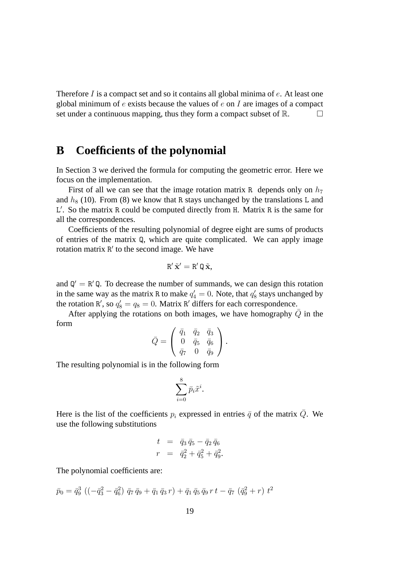Therefore I is a compact set and so it contains all global minima of  $e$ . At least one global minimum of  $e$  exists because the values of  $e$  on  $I$  are images of a compact set under a continuous mapping, thus they form a compact subset of  $\mathbb{R}$ .

# **B Coefficients of the polynomial**

In Section 3 we derived the formula for computing the geometric error. Here we focus on the implementation.

First of all we can see that the image rotation matrix R depends only on  $h_7$ and  $h_8$  (10). From (8) we know that R stays unchanged by the translations L and L'. So the matrix R could be computed directly from H. Matrix R is the same for all the correspondences.

Coefficients of the resulting polynomial of degree eight are sums of products of entries of the matrix Q, which are quite complicated. We can apply image rotation matrix R' to the second image. We have

$$
R'\,\tilde{\mathbf{x}}'=R'\,\mathtt{Q}\,\tilde{\mathbf{x}},
$$

and  $Q' = R'Q$ . To decrease the number of summands, we can design this rotation in the same way as the matrix R to make  $q'_4 = 0$ . Note, that  $q'_8$  stays unchanged by the rotation R', so  $q_8' = q_8 = 0$ . Matrix R' differs for each correspondence.

After applying the rotations on both images, we have homography  $\overline{Q}$  in the form

$$
\bar{Q} = \left(\begin{array}{ccc} \bar{q}_1 & \bar{q}_2 & \bar{q}_3 \\ 0 & \bar{q}_5 & \bar{q}_6 \\ \bar{q}_7 & 0 & \bar{q}_9 \end{array}\right).
$$

The resulting polynomial is in the following form

$$
\sum_{i=0}^8 \bar{p}_i \tilde{x}^i.
$$

Here is the list of the coefficients  $p_i$  expressed in entries  $\bar{q}$  of the matrix  $\bar{Q}$ . We use the following substitutions

$$
t = \bar{q}_3 \,\bar{q}_5 - \bar{q}_2 \,\bar{q}_6
$$
  

$$
r = \bar{q}_2^2 + \bar{q}_5^2 + \bar{q}_9^2.
$$

The polynomial coefficients are:

$$
\bar{p}_0 = \bar{q}_9^3 \left( \left( -\bar{q}_3^2 - \bar{q}_6^2 \right) \bar{q}_7 \bar{q}_9 + \bar{q}_1 \bar{q}_3 r \right) + \bar{q}_1 \bar{q}_5 \bar{q}_9 r t - \bar{q}_7 \left( \bar{q}_9^2 + r \right) t^2
$$